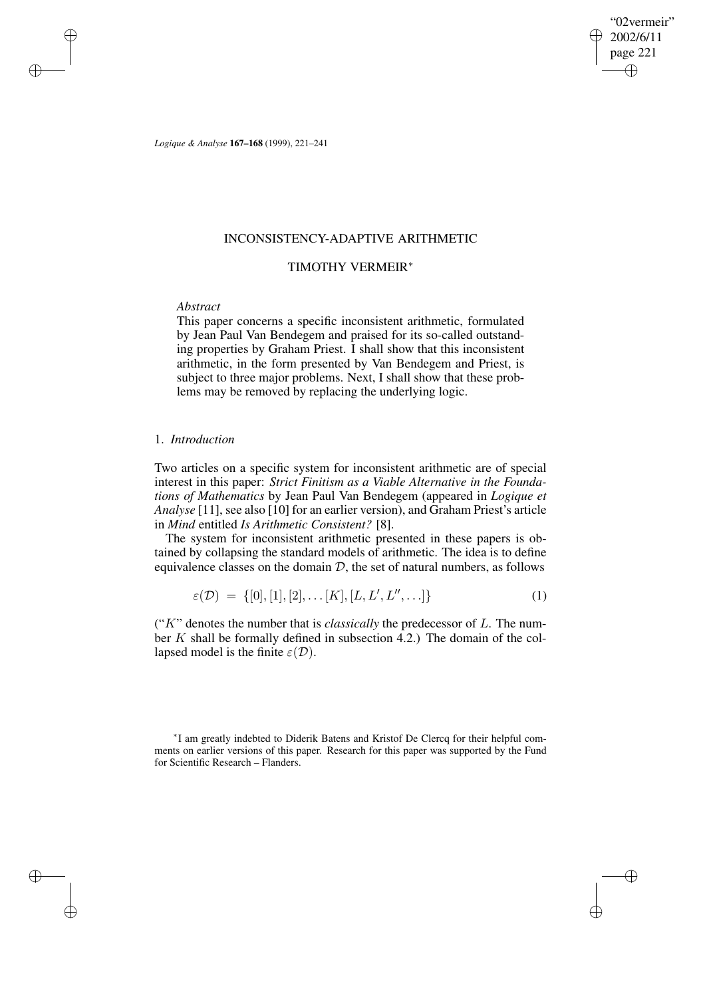"02vermeir" 2002/6/11 page 221 ✐ ✐

✐

✐

*Logique & Analyse* **167–168** (1999), 221–241

# INCONSISTENCY-ADAPTIVE ARITHMETIC

# TIMOTHY VERMEIR<sup>∗</sup>

# *Abstract*

✐

✐

✐

✐

This paper concerns a specific inconsistent arithmetic, formulated by Jean Paul Van Bendegem and praised for its so-called outstanding properties by Graham Priest. I shall show that this inconsistent arithmetic, in the form presented by Van Bendegem and Priest, is subject to three major problems. Next, I shall show that these problems may be removed by replacing the underlying logic.

# 1. *Introduction*

Two articles on a specific system for inconsistent arithmetic are of special interest in this paper: *Strict Finitism as a Viable Alternative in the Foundations of Mathematics* by Jean Paul Van Bendegem (appeared in *Logique et Analyse* [11], see also [10] for an earlier version), and Graham Priest's article in *Mind* entitled *Is Arithmetic Consistent?* [8].

The system for inconsistent arithmetic presented in these papers is obtained by collapsing the standard models of arithmetic. The idea is to define equivalence classes on the domain  $D$ , the set of natural numbers, as follows

$$
\varepsilon(\mathcal{D}) = \{ [0], [1], [2], \dots [K], [L, L', L'', \dots] \}
$$
 (1)

(" $K$ " denotes the number that is *classically* the predecessor of  $L$ . The number K shall be formally defined in subsection  $\overline{4.2}$ .) The domain of the collapsed model is the finite  $\varepsilon(\mathcal{D})$ .

∗ I am greatly indebted to Diderik Batens and Kristof De Clercq for their helpful comments on earlier versions of this paper. Research for this paper was supported by the Fund for Scientific Research – Flanders.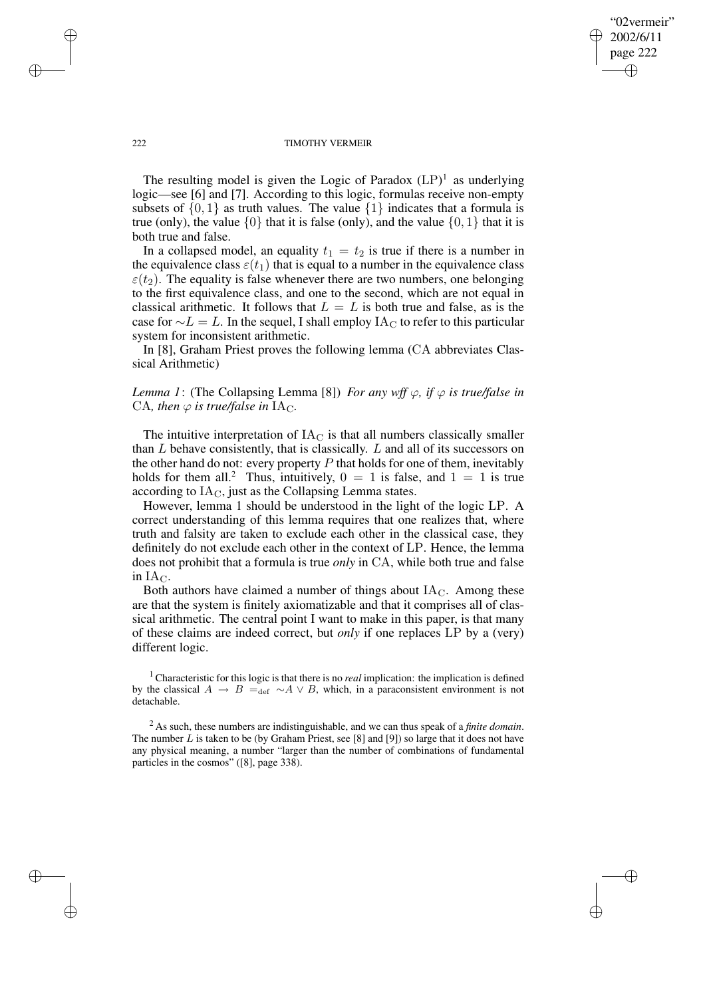✐

#### 222 TIMOTHY VERMEIR

The resulting model is given the Logic of Paradox  $(LP)^{1}$  as underlying logic—see [6] and [7]. According to this logic, formulas receive non-empty subsets of  $\{0, 1\}$  as truth values. The value  $\{1\}$  indicates that a formula is true (only), the value  $\{0\}$  that it is false (only), and the value  $\{0, 1\}$  that it is both true and false.

In a collapsed model, an equality  $t_1 = t_2$  is true if there is a number in the equivalence class  $\varepsilon(t_1)$  that is equal to a number in the equivalence class  $\varepsilon(t_2)$ . The equality is false whenever there are two numbers, one belonging to the first equivalence class, and one to the second, which are not equal in classical arithmetic. It follows that  $L = L$  is both true and false, as is the case for  $\sim L = L$ . In the sequel, I shall employ IA<sub>C</sub> to refer to this particular system for inconsistent arithmetic.

In [8], Graham Priest proves the following lemma (CA abbreviates Classical Arithmetic)

# *Lemma 1*: (The Collapsing Lemma [8]) *For any wff*  $\varphi$ *, if*  $\varphi$  *is true/false in* CA, then  $\varphi$  is true/false in IA<sub>C</sub>.

The intuitive interpretation of  $IA<sub>C</sub>$  is that all numbers classically smaller than  $L$  behave consistently, that is classically.  $L$  and all of its successors on the other hand do not: every property  $P$  that holds for one of them, inevitably holds for them all.<sup>2</sup> Thus, intuitively,  $0 = 1$  is false, and  $1 = 1$  is true according to  $IA<sub>C</sub>$ , just as the Collapsing Lemma states.

However, lemma 1 should be understood in the light of the logic LP. A correct understanding of this lemma requires that one realizes that, where truth and falsity are taken to exclude each other in the classical case, they definitely do not exclude each other in the context of LP. Hence, the lemma does not prohibit that a formula is true *only* in CA, while both true and false in  $IA<sub>C</sub>$ .

Both authors have claimed a number of things about  $IA<sub>C</sub>$ . Among these are that the system is finitely axiomatizable and that it comprises all of classical arithmetic. The central point I want to make in this paper, is that many of these claims are indeed correct, but *only* if one replaces LP by a (very) different logic.

<sup>1</sup> Characteristic for this logic is that there is no *real* implication: the implication is defined by the classical  $A \rightarrow B =_{\text{def}} \sim A \vee B$ , which, in a paraconsistent environment is not detachable.

<sup>2</sup> As such, these numbers are indistinguishable, and we can thus speak of a *finite domain*. The number  $L$  is taken to be (by Graham Priest, see [8] and [9]) so large that it does not have any physical meaning, a number "larger than the number of combinations of fundamental particles in the cosmos" ([8], page 338).

✐

✐

✐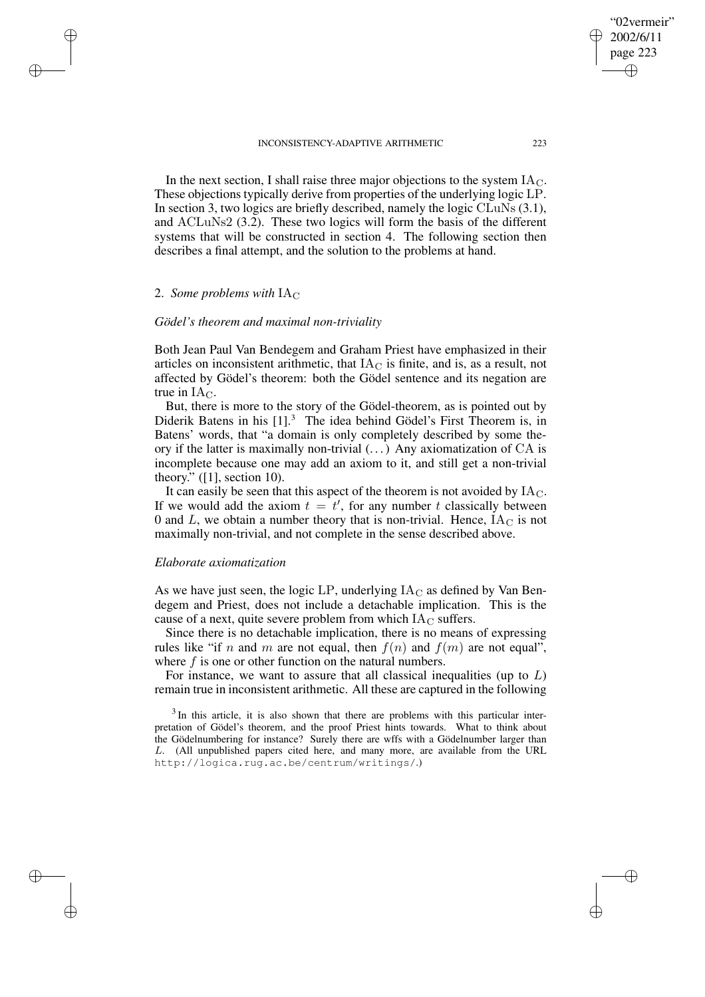In the next section, I shall raise three major objections to the system  $IA<sub>C</sub>$ . These objections typically derive from properties of the underlying logic LP. In section 3, two logics are briefly described, namely the logic CLuNs (3.1), and ACLuNs2 (3.2). These two logics will form the basis of the different systems that will be constructed in section 4. The following section then describes a final attempt, and the solution to the problems at hand.

# 2. *Some problems with*  $IA<sub>C</sub>$

✐

✐

✐

✐

### *Gödel's theorem and maximal non-triviality*

Both Jean Paul Van Bendegem and Graham Priest have emphasized in their articles on inconsistent arithmetic, that  $IA<sub>C</sub>$  is finite, and is, as a result, not affected by Gödel's theorem: both the Gödel sentence and its negation are true in  $IA<sub>C</sub>$ .

But, there is more to the story of the Gödel-theorem, as is pointed out by Diderik Batens in his [1].<sup>3</sup> The idea behind Gödel's First Theorem is, in Batens' words, that "a domain is only completely described by some theory if the latter is maximally non-trivial (. . .) Any axiomatization of CA is incomplete because one may add an axiom to it, and still get a non-trivial theory."  $(1]$ , section 10).

It can easily be seen that this aspect of the theorem is not avoided by  $IA<sub>C</sub>$ . If we would add the axiom  $t = t'$ , for any number t classically between 0 and L, we obtain a number theory that is non-trivial. Hence,  $IA<sub>C</sub>$  is not maximally non-trivial, and not complete in the sense described above.

# *Elaborate axiomatization*

As we have just seen, the logic LP, underlying  $IA<sub>C</sub>$  as defined by Van Bendegem and Priest, does not include a detachable implication. This is the cause of a next, quite severe problem from which  $I_{\text{AC}}$  suffers.

Since there is no detachable implication, there is no means of expressing rules like "if n and m are not equal, then  $f(n)$  and  $f(m)$  are not equal", where  $f$  is one or other function on the natural numbers.

For instance, we want to assure that all classical inequalities (up to  $L$ ) remain true in inconsistent arithmetic. All these are captured in the following

 $3$ In this article, it is also shown that there are problems with this particular interpretation of Gödel's theorem, and the proof Priest hints towards. What to think about the Gödelnumbering for instance? Surely there are wffs with a Gödelnumber larger than L. (All unpublished papers cited here, and many more, are available from the URL http://logica.rug.ac.be/centrum/writings/.)

"02vermeir" 2002/6/11 page 223

✐

✐

✐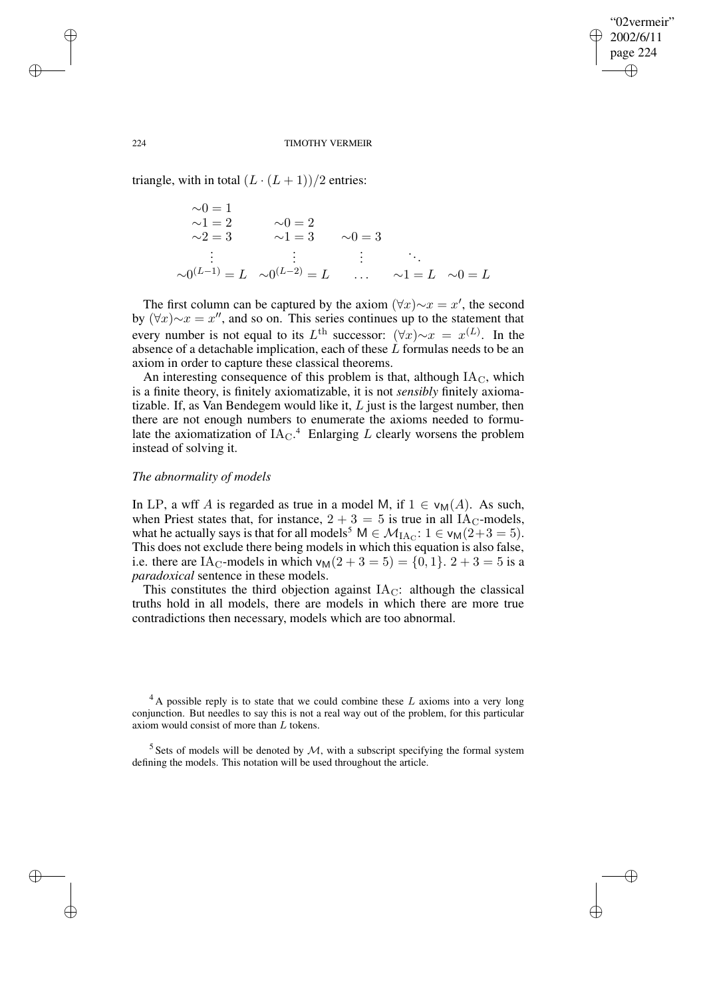✐

#### 224 TIMOTHY VERMEIR

triangle, with in total  $(L \cdot (L + 1))/2$  entries:

 $\sim 0 = 1$  $\sim l = 2$   $\sim 0 = 2$  $\sim 2 = 3$   $\sim 1 = 3$   $\sim 0 = 3$ . . . . . . . . . . . .  $\sim 0^{(L-1)} = L \quad \sim 0^{(L-2)} = L \quad \dots \quad \sim 1 = L \quad \sim 0 = L$ 

The first column can be captured by the axiom  $(\forall x) \sim x = x'$ , the second by  $(\forall x) \sim x = x''$ , and so on. This series continues up to the statement that every number is not equal to its  $L^{\text{th}}$  successor:  $(\forall x) \sim x = x^{(L)}$ . In the absence of a detachable implication, each of these  $\hat{L}$  formulas needs to be an axiom in order to capture these classical theorems.

An interesting consequence of this problem is that, although  $IA<sub>C</sub>$ , which is a finite theory, is finitely axiomatizable, it is not *sensibly* finitely axiomatizable. If, as Van Bendegem would like it,  $L$  just is the largest number, then there are not enough numbers to enumerate the axioms needed to formulate the axiomatization of  $IA_{C}$ <sup>4</sup> Enlarging L clearly worsens the problem instead of solving it.

# *The abnormality of models*

In LP, a wff A is regarded as true in a model M, if  $1 \in v_{M}(A)$ . As such, when Priest states that, for instance,  $2 + 3 = 5$  is true in all IA<sub>C</sub>-models, what he actually says is that for all models<sup>5</sup>  $M \in \mathcal{M}_{I A_C}: 1 \in v_M(2+3=5)$ . This does not exclude there being models in which this equation is also false, i.e. there are IA<sub>C</sub>-models in which  $v_M(2 + 3 = 5) = \{0, 1\}$ .  $2 + 3 = 5$  is a *paradoxical* sentence in these models.

This constitutes the third objection against  $IA<sub>C</sub>$ : although the classical truths hold in all models, there are models in which there are more true contradictions then necessary, models which are too abnormal.

✐

✐

✐

 $4A$  possible reply is to state that we could combine these L axioms into a very long conjunction. But needles to say this is not a real way out of the problem, for this particular axiom would consist of more than L tokens.

<sup>&</sup>lt;sup>5</sup> Sets of models will be denoted by  $M$ , with a subscript specifying the formal system defining the models. This notation will be used throughout the article.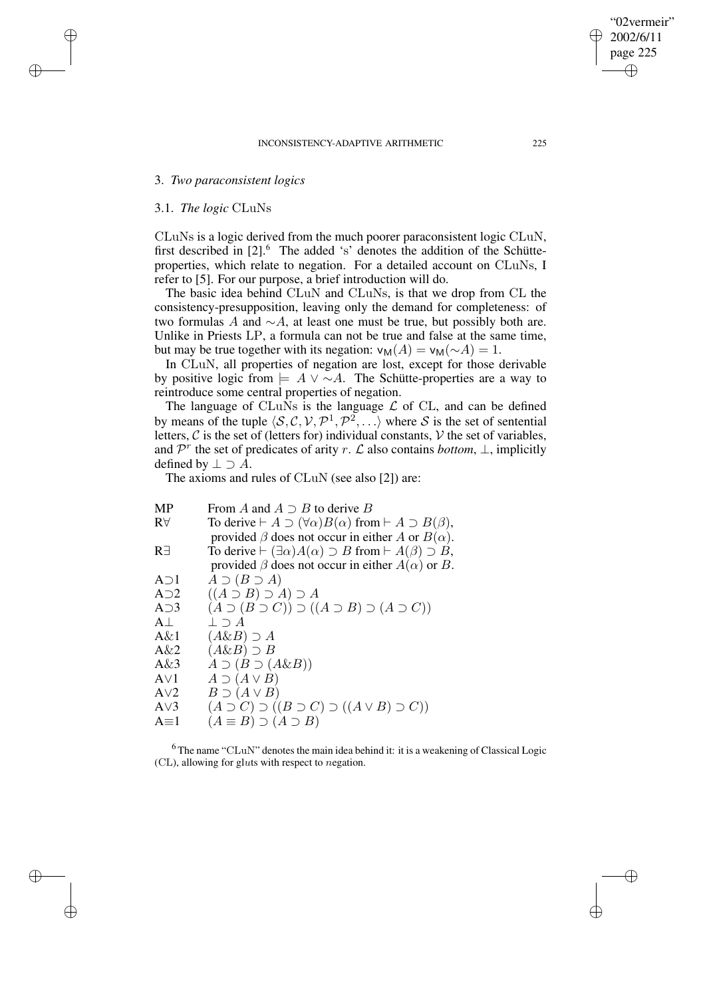# 3. *Two paraconsistent logics*

## 3.1. *The logic* CLuNs

✐

✐

✐

✐

CLuNs is a logic derived from the much poorer paraconsistent logic CLuN, first described in  $[2]$ .<sup>6</sup> The added 's' denotes the addition of the Schütteproperties, which relate to negation. For a detailed account on CLuNs, I refer to [5]. For our purpose, a brief introduction will do.

The basic idea behind CLuN and CLuNs, is that we drop from CL the consistency-presupposition, leaving only the demand for completeness: of two formulas A and  $\sim$ A, at least one must be true, but possibly both are. Unlike in Priests LP, a formula can not be true and false at the same time, but may be true together with its negation:  $v_M(A) = v_M(\sim A) = 1$ .

In CLuN, all properties of negation are lost, except for those derivable by positive logic from  $\models A \vee \neg A$ . The Schütte-properties are a way to reintroduce some central properties of negation.

The language of CLuNs is the language  $\mathcal L$  of CL, and can be defined by means of the tuple  $\langle S, C, V, \mathcal{P}^1, \mathcal{P}^2, \ldots \rangle$  where S is the set of sentential letters,  $C$  is the set of (letters for) individual constants,  $V$  the set of variables, and  $\mathcal{P}^r$  the set of predicates of arity r. L also contains *bottom*,  $\perp$ , implicitly defined by  $\perp \supset A$ .

The axioms and rules of CLuN (see also [2]) are:

| MP             | From A and $A \supset B$ to derive B                                                       |
|----------------|--------------------------------------------------------------------------------------------|
| $R\forall$     | To derive $\vdash A \supset (\forall \alpha) B(\alpha)$ from $\vdash A \supset B(\beta)$ , |
|                | provided $\beta$ does not occur in either A or $B(\alpha)$ .                               |
| R <sup>3</sup> | To derive $\vdash (\exists \alpha) A(\alpha) \supset B$ from $\vdash A(\beta) \supset B$ , |
|                | provided $\beta$ does not occur in either $A(\alpha)$ or B.                                |
| $A \supset 1$  | $A \supset (B \supset A)$                                                                  |
| $A\supset2$    | $((A \supset B) \supset A) \supset A$                                                      |
| $A \supset 3$  | $(A \supset (B \supset C)) \supset ((A \supset B) \supset (A \supset C))$                  |
| $A \perp$      | $\perp \supset A$                                                                          |
| $A\&1$         | $(A\&B) \supseteq A$                                                                       |
| $A\&2$         | $(A\&B) \supset B$                                                                         |
| $A\&3$         | $A \supset (B \supset (A \& B))$                                                           |
| AV1            | $A \supset (A \vee B)$                                                                     |
| AV2            | $B \supset (A \vee B)$                                                                     |
| AV3            | $(A \supset C) \supset ((B \supset C) \supset ((A \vee B) \supset C))$                     |
| $A \equiv 1$   | $(A \equiv B) \supset (A \supset B)$                                                       |
|                |                                                                                            |

 $6$ The name "CLuN" denotes the main idea behind it: it is a weakening of Classical Logic (CL), allowing for gluts with respect to negation.

"02vermeir" 2002/6/11 page 225

✐

✐

✐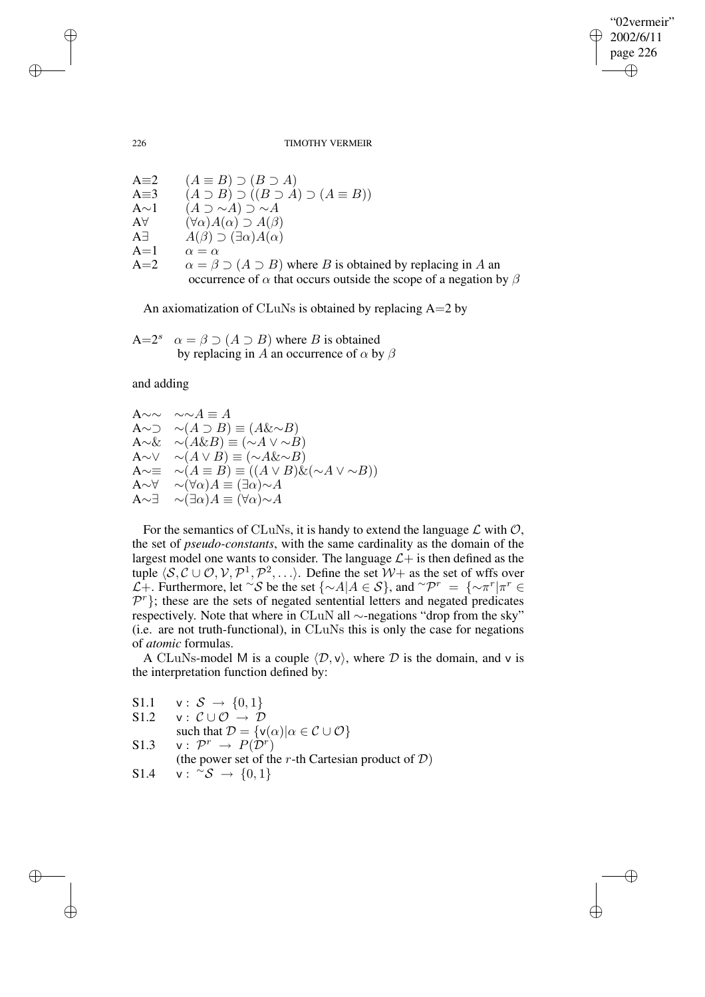"02vermeir" 2002/6/11 page 226 ✐ ✐

✐

✐

226 TIMOTHY VERMEIR

A≡2 
$$
(A \equiv B) \supset (B \supset A)
$$
  
\nA≡3 
$$
(A \supset B) \supset ((B \supset A) \supset (A \equiv B))
$$
  
\nA~1 
$$
(A \supset \sim A) \supset \sim A
$$
  
\nA∀ 
$$
(\forall \alpha) A(\alpha) \supset A(\beta)
$$
  
\nA∃ 
$$
A(\beta) \supset (\exists \alpha) A(\alpha)
$$
  
\nA=1 
$$
\alpha = \alpha
$$
  
\nA=2 
$$
\alpha = \beta \supset (A \supset B)
$$
 where *B* is obtained by replacing in *A* an occurrence of *α* that occurs outside the scope of a negation by *β*

An axiomatization of CLuNs is obtained by replacing  $A=2$  by

A=2<sup>s</sup> 
$$
\alpha = \beta \supset (A \supset B)
$$
 where *B* is obtained  
by replacing in *A* an occurrence of  $\alpha$  by  $\beta$ 

and adding

A∼∼  $\sim \sim A \equiv A$ A∼ $\supset \sim(A \supset B) \equiv (A \& \sim B)$  $A\sim\& \sim( A\& B) \equiv (\sim A \vee \sim B)$ A∼∨  $∼( A ∨ B) ≡ (∼A&~v B)$ A∼≡ ∼( $A \equiv B$ ) ≡ (( $A \vee B$ )&(~ $A \vee \sim B$ ))<br>A∼∀ ∼( $\forall \alpha$ ) $A \equiv (\exists \alpha) \sim A$  $\sim (\forall \alpha) A \equiv (\exists \alpha) \sim A$  $A \sim \exists \sim (\exists \alpha) A \equiv (\forall \alpha) \sim A$ 

For the semantics of CLuNs, it is handy to extend the language  $\mathcal L$  with  $\mathcal O$ , the set of *pseudo-constants*, with the same cardinality as the domain of the largest model one wants to consider. The language  $\mathcal{L}$  is then defined as the tuple  $\langle S, C \cup \mathcal{O}, \mathcal{V}, \mathcal{P}^1, \mathcal{P}^2, \ldots \rangle$ . Define the set  $\mathcal{W}$ + as the set of wffs over  $\mathcal{L}$ +. Furthermore, let ∼*S* be the set {∼A|A ∈ S}, and ~ $\mathcal{P}^r = \{\sim \pi^r | \pi^r \in$  $\mathcal{P}^r$ }; these are the sets of negated sentential letters and negated predicates respectively. Note that where in CLuN all ∼-negations "drop from the sky" (i.e. are not truth-functional), in CLuNs this is only the case for negations of *atomic* formulas.

A CLuNs-model M is a couple  $\langle \mathcal{D}, v \rangle$ , where D is the domain, and v is the interpretation function defined by:

S1.1 
$$
\mathbf{v}: \mathcal{S} \to \{0, 1\}
$$
  
\nS1.2  $\mathbf{v}: \mathcal{C} \cup \mathcal{O} \to \mathcal{D}$   
\nsuch that  $\mathcal{D} = \{\mathbf{v}(\alpha) | \alpha \in \mathcal{C} \cup \mathcal{O}\}$   
\nS1.3  $\mathbf{v}: \mathcal{P}^r \to P(\mathcal{D}^r)$   
\n(the power set of the *r*-th Cartesian product of  $\mathcal{D}$ )  
\nS1.4  $\mathbf{v}: \mathcal{S} \to \{0, 1\}$ 

✐

✐

✐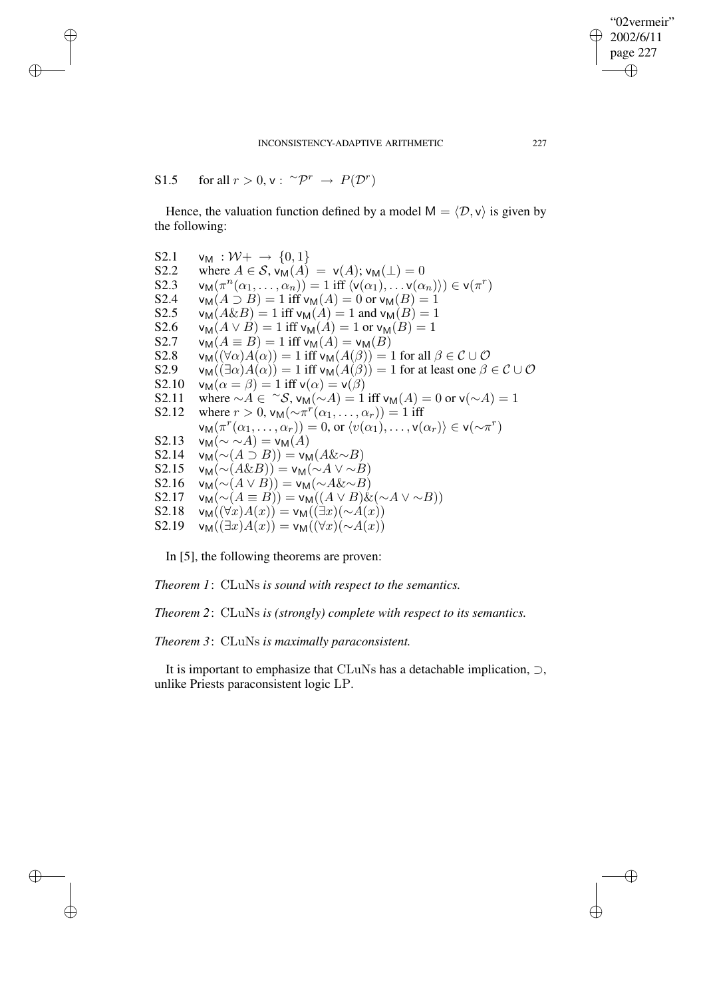S1.5 for all  $r > 0$ ,  $v: \ ^{\sim} \mathcal{P}^r \rightarrow P(\mathcal{D}^r)$ 

✐

✐

✐

✐

Hence, the valuation function defined by a model  $M = \langle \mathcal{D}, v \rangle$  is given by the following:

S2.1  $v_M : \mathcal{W}^+ \to \{0, 1\}$ S2.2 where  $A \in S$ ,  $v_M(A) = v(A)$ ;  $v_M(\perp) = 0$ S2.3  $v_M(\pi^n(\alpha_1,\ldots,\alpha_n)) = 1$  iff  $\langle v(\alpha_1),\ldots,v(\alpha_n) \rangle \in v(\pi^r)$ S2.4  $v_M(A \supset B) = 1$  iff  $v_M(A) = 0$  or  $v_M(B) = 1$ S2.5  $v_M(A\&B) = 1$  iff  $v_M(A) = 1$  and  $v_M(B) = 1$ S2.6  $v_M(A \vee B) = 1$  iff  $v_M(A) = 1$  or  $v_M(B) = 1$ S2.7  $v_M(A \equiv B) = 1$  iff  $v_M(A) = v_M(B)$ <br>S2.8  $v_M(\forall \alpha)A(\alpha) = 1$  iff  $v_M(A(\beta)) = 1$ S2.8  $v_M((\forall \alpha)A(\alpha)) = 1$  iff  $v_M(A(\beta)) = 1$  for all  $\beta \in C \cup \mathcal{O}$ <br>S2.9  $v_M((\exists \alpha)A(\alpha)) = 1$  iff  $v_M(A(\beta)) = 1$  for at least one  $\beta$ S2.9 v<sub>M</sub>(( $\exists \alpha$ )A( $\alpha$ )) = 1 iff v<sub>M</sub>(A( $\beta$ )) = 1 for at least one  $\beta \in C \cup \mathcal{O}$ <br>S2.10 v<sub>M</sub>( $\alpha = \beta$ ) = 1 iff v( $\alpha$ ) = v( $\beta$ )  $\mathsf{v}_{\mathsf{M}}(\alpha = \beta) = 1$  iff  $\mathsf{v}(\alpha) = \mathsf{v}(\beta)$ S2.11 where  $\sim A \in {}^{\sim}S$ ,  $v_M(\sim A) = 1$  iff  $v_M(A) = 0$  or  $v(\sim A) = 1$ S2.12 where  $r > 0$ ,  $v_M(\sim \pi^r(\alpha_1, ..., \alpha_r)) = 1$  iff  $\mathsf{v}_\mathsf{M}(\pi^r(\alpha_1,\ldots,\alpha_r)) = 0$ , or  $\langle v(\alpha_1),\ldots,v(\alpha_r) \rangle \in \mathsf{v}(\sim \pi^r)$ S2.13  $v_M(\sim \sim A) = v_M(A)$ S2.14  $v_M(\sim(A \supset B)) = v_M(A \& \sim B)$ S2.15  $v_M(\sim(A\&B)) = v_M(\sim A \vee \sim B)$ S2.16  $v_M(\sim(A \vee B)) = v_M(\sim A\&\sim B)$ S2.17  $v_M(\sim(A \equiv B)) = v_M((A \lor B) \& (\sim A \lor \sim B))$ S2.18  $v_M((\forall x)A(x)) = v_M((\exists x)(\sim A(x)))$ S2.19  $v_M((\exists x)A(x)) = v_M((\forall x)(\sim A(x)))$ 

In [5], the following theorems are proven:

*Theorem 1*: CLuNs *is sound with respect to the semantics.*

*Theorem 2*: CLuNs *is (strongly) complete with respect to its semantics.*

*Theorem 3*: CLuNs *is maximally paraconsistent.*

It is important to emphasize that CLuNs has a detachable implication, ⊃, unlike Priests paraconsistent logic LP.

"02vermeir" 2002/6/11 page 227

✐

✐

✐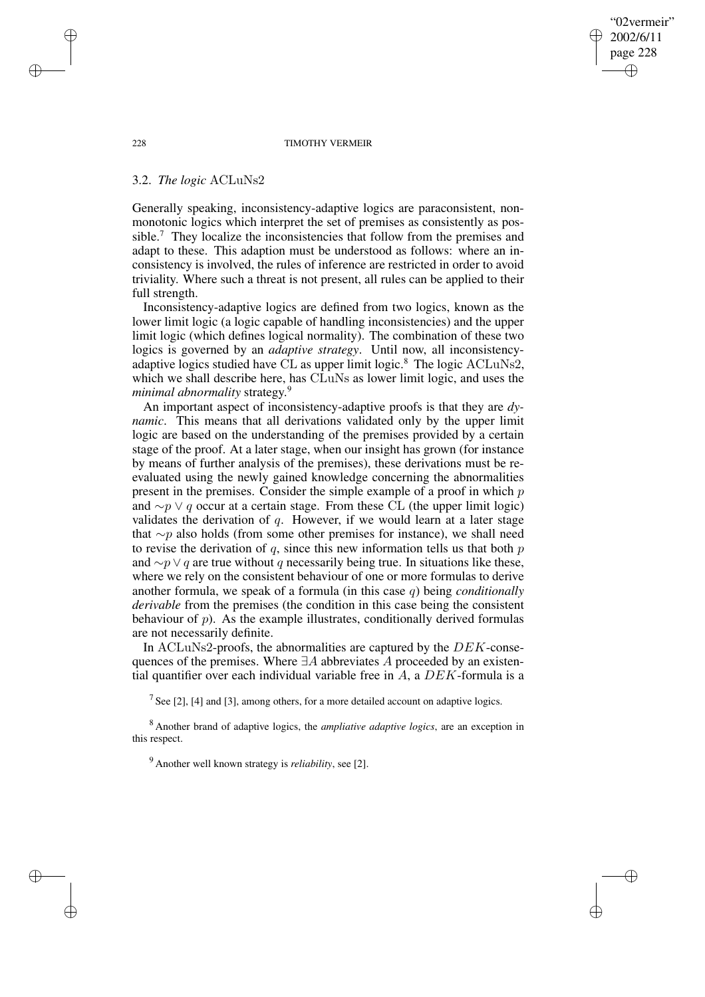228 TIMOTHY VERMEIR

"02vermeir" 2002/6/11 page 228

✐

✐

✐

✐

# 3.2. *The logic* ACLuNs2

Generally speaking, inconsistency-adaptive logics are paraconsistent, nonmonotonic logics which interpret the set of premises as consistently as possible.<sup>7</sup> They localize the inconsistencies that follow from the premises and adapt to these. This adaption must be understood as follows: where an inconsistency is involved, the rules of inference are restricted in order to avoid triviality. Where such a threat is not present, all rules can be applied to their full strength.

Inconsistency-adaptive logics are defined from two logics, known as the lower limit logic (a logic capable of handling inconsistencies) and the upper limit logic (which defines logical normality). The combination of these two logics is governed by an *adaptive strategy*. Until now, all inconsistencyadaptive logics studied have CL as upper limit logic.<sup>8</sup> The logic ACLuNs2, which we shall describe here, has CLuNs as lower limit logic, and uses the *minimal abnormality* strategy. 9

An important aspect of inconsistency-adaptive proofs is that they are *dynamic*. This means that all derivations validated only by the upper limit logic are based on the understanding of the premises provided by a certain stage of the proof. At a later stage, when our insight has grown (for instance by means of further analysis of the premises), these derivations must be reevaluated using the newly gained knowledge concerning the abnormalities present in the premises. Consider the simple example of a proof in which p and  $\sim p \vee q$  occur at a certain stage. From these CL (the upper limit logic) validates the derivation of  $q$ . However, if we would learn at a later stage that ∼p also holds (from some other premises for instance), we shall need to revise the derivation of  $q$ , since this new information tells us that both  $p$ and  $\sim p \vee q$  are true without q necessarily being true. In situations like these, where we rely on the consistent behaviour of one or more formulas to derive another formula, we speak of a formula (in this case q) being *conditionally derivable* from the premises (the condition in this case being the consistent behaviour of  $p$ ). As the example illustrates, conditionally derived formulas are not necessarily definite.

In ACLuNs2-proofs, the abnormalities are captured by the DEK-consequences of the premises. Where  $\exists A$  abbreviates A proceeded by an existential quantifier over each individual variable free in  $A$ , a  $DEK$ -formula is a

<sup>7</sup> See [2], [4] and [3], among others, for a more detailed account on adaptive logics.

<sup>8</sup> Another brand of adaptive logics, the *ampliative adaptive logics*, are an exception in this respect.

<sup>9</sup> Another well known strategy is *reliability*, see [2].

✐

✐

✐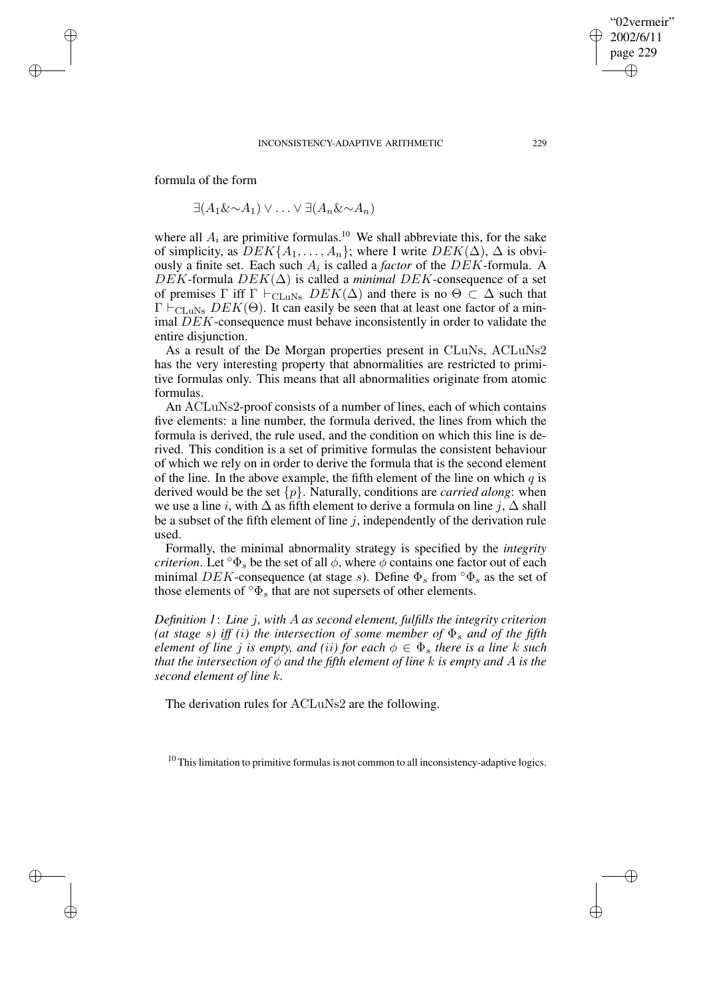formula of the form

✐

✐

✐

✐

 $\exists (A_1 \& \sim A_1) \vee \ldots \vee \exists (A_n \& \sim A_n)$ 

where all  $A_i$  are primitive formulas.<sup>10</sup> We shall abbreviate this, for the sake of simplicity, as  $DEK\{A_1, \ldots, A_n\}$ ; where I write  $DEK(\Delta)$ ,  $\Delta$  is obviously a finite set. Each such  $A_i$  is called a *factor* of the  $DEK$ -formula. A  $DEK$ -formula  $DEK(\Delta)$  is called a *minimal DEK*-consequence of a set of premises  $\Gamma$  iff  $\Gamma \vdash_{\text{CLuNs}}$   $DEK(\Delta)$  and there is no  $\Theta \subset \Delta$  such that  $\Gamma \vdash_{\text{CLuNs}} DEK(\Theta)$ . It can easily be seen that at least one factor of a minimal DEK-consequence must behave inconsistently in order to validate the entire disjunction.

As a result of the De Morgan properties present in CLuNs, ACLuNs2 has the very interesting property that abnormalities are restricted to primitive formulas only. This means that all abnormalities originate from atomic formulas.

An ACLuNs2-proof consists of a number of lines, each of which contains five elements: a line number, the formula derived, the lines from which the formula is derived, the rule used, and the condition on which this line is derived. This condition is a set of primitive formulas the consistent behaviour of which we rely on in order to derive the formula that is the second element of the line. In the above example, the fifth element of the line on which  $q$  is derived would be the set  $\{p\}$ . Naturally, conditions are *carried along*: when we use a line i, with  $\Delta$  as fifth element to derive a formula on line j,  $\Delta$  shall be a subset of the fifth element of line  $j$ , independently of the derivation rule used.

Formally, the minimal abnormality strategy is specified by the *integrity criterion*. Let  $\circ \Phi_s$  be the set of all  $\phi$ , where  $\phi$  contains one factor out of each minimal DEK-consequence (at stage s). Define  $\Phi_s$  from  $\Phi_s$  as the set of those elements of  $\sigma_{\mathcal{S}}$  that are not supersets of other elements.

*Definition 1*: *Line* j*, with* A *as second element, fulfills the integrity criterion (at stage s) iff (i) the intersection of some member of*  $\Phi_s$  *and of the fifth element of line j is empty, and (ii) for each*  $\phi \in \Phi_s$  *there is a line* k *such that the intersection of*  $\phi$  *and the fifth element of line k is empty and A is the second element of line* k*.*

The derivation rules for ACLuNs2 are the following.

 $10$  This limitation to primitive formulas is not common to all inconsistency-adaptive logics.

"02vermeir" 2002/6/11 page 229

✐

✐

✐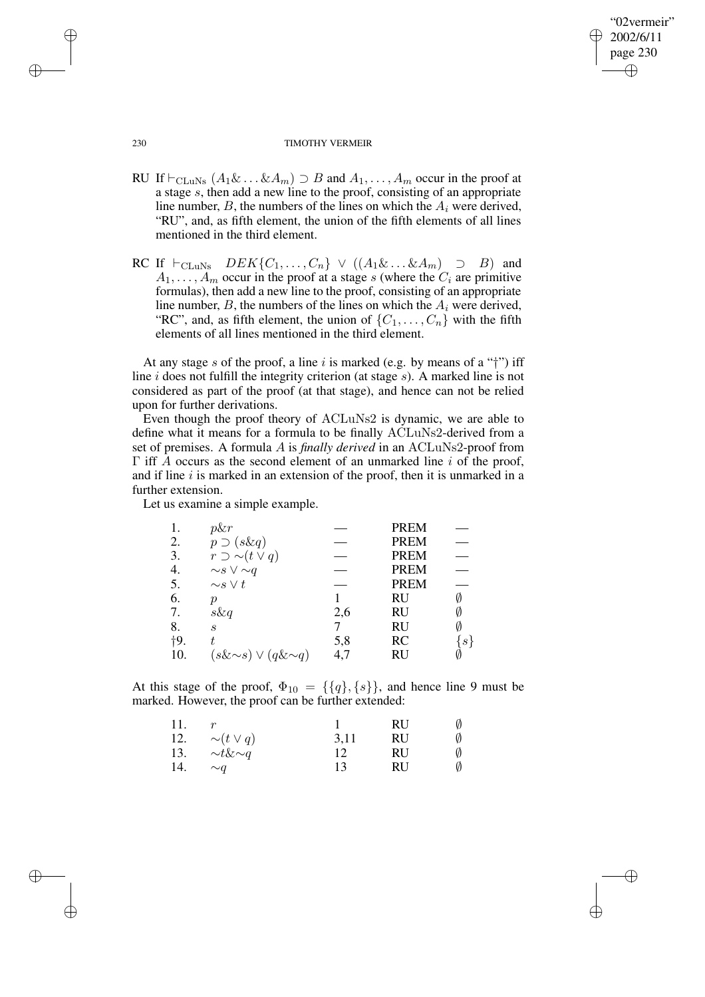# "02vermeir" 2002/6/11 page 230 ✐ ✐

✐

✐

#### 230 TIMOTHY VERMEIR

- RU If  $\vdash_{\text{CLuNs}} (A_1 \& \ldots \& A_m) \supset B$  and  $A_1, \ldots, A_m$  occur in the proof at a stage s, then add a new line to the proof, consisting of an appropriate line number,  $B$ , the numbers of the lines on which the  $A_i$  were derived, "RU", and, as fifth element, the union of the fifth elements of all lines mentioned in the third element.
- RC If  $\vdash_{\text{CLuNs}}$   $DEF\{C_1, \ldots, C_n\} \lor ((A_1 \& \ldots \& A_m) \supset B)$  and  $A_1, \ldots, A_m$  occur in the proof at a stage s (where the  $C_i$  are primitive formulas), then add a new line to the proof, consisting of an appropriate line number,  $B$ , the numbers of the lines on which the  $A_i$  were derived, "RC", and, as fifth element, the union of  $\{C_1, \ldots, C_n\}$  with the fifth elements of all lines mentioned in the third element.

At any stage s of the proof, a line i is marked (e.g. by means of a " $\uparrow$ ") iff line  $i$  does not fulfill the integrity criterion (at stage  $s$ ). A marked line is not considered as part of the proof (at that stage), and hence can not be relied upon for further derivations.

Even though the proof theory of ACLuNs2 is dynamic, we are able to define what it means for a formula to be finally ACLuNs2-derived from a set of premises. A formula A is *finally derived* in an ACLuNs2-proof from  $\Gamma$  iff A occurs as the second element of an unmarked line i of the proof, and if line  $i$  is marked in an extension of the proof, then it is unmarked in a further extension.

Let us examine a simple example.

|       | p&r                            |     | <b>PREM</b> |                  |
|-------|--------------------------------|-----|-------------|------------------|
| 2.    | $p \supset (s\&q)$             |     | <b>PREM</b> |                  |
| 3.    | $r \supset \sim(t \vee q)$     |     | <b>PREM</b> |                  |
| 4.    | $\sim s \vee \sim q$           |     | <b>PREM</b> |                  |
| 5.    | $\sim s \vee t$                |     | <b>PREM</b> |                  |
| 6.    | ŋ                              |     | RU          |                  |
| 7.    | $s\&q$                         | 2,6 | RU          | Ø                |
| 8.    | $\mathcal{S}_{0}$              |     | RU          |                  |
| $+9.$ | t.                             | 5,8 | <b>RC</b>   | $\boldsymbol{s}$ |
| 10.   | $(s\&\sim s) \vee (q\&\sim q)$ | 4,7 | RU          |                  |

At this stage of the proof,  $\Phi_{10} = \{\{q\}, \{s\}\}\$ , and hence line 9 must be marked. However, the proof can be further extended:

| 11. |                  |      | RU | Ø |
|-----|------------------|------|----|---|
| 12. | $\sim(t\vee q)$  | 3,11 | RU | Ø |
| 13. | $\sim t\&\sim q$ |      | RU | Ø |
| 14. | $\sim a$         | 13   | RU | Ø |

✐

✐

✐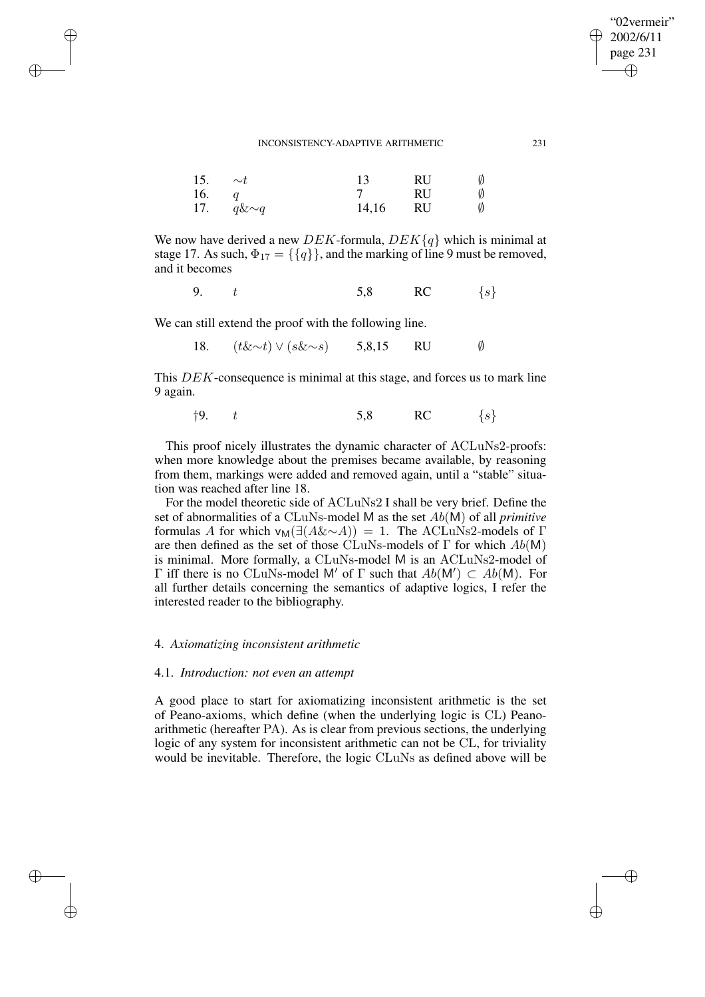| 15. | $\sim t$        | 13    | RU | Ø |
|-----|-----------------|-------|----|---|
| 16. |                 |       | RU | Ø |
|     | 17. $q\&\sim q$ | 14,16 | RU | Ø |

We now have derived a new DEK-formula,  $DEK\{q\}$  which is minimal at stage 17. As such,  $\Phi_{17} = \{\{q\}\}\$ , and the marking of line 9 must be removed, and it becomes

9.  $t$  5,8 RC  $\{s\}$ 

We can still extend the proof with the following line.

✐

✐

✐

✐

18. (t&∼t) ∨ (s&∼s) 5,8,15 RU ∅

This DEK-consequence is minimal at this stage, and forces us to mark line 9 again.

$$
\dagger 9. \t t \t\t 5.8 \t RC \t\t \{s\}
$$

This proof nicely illustrates the dynamic character of ACLuNs2-proofs: when more knowledge about the premises became available, by reasoning from them, markings were added and removed again, until a "stable" situation was reached after line 18.

For the model theoretic side of ACLuNs2 I shall be very brief. Define the set of abnormalities of a CLuNs-model M as the set Ab(M) of all *primitive* formulas A for which  $v_M(\exists (A&\sim A)) = 1$ . The ACLuNs2-models of Γ are then defined as the set of those CLuNs-models of  $\Gamma$  for which  $Ab(M)$ is minimal. More formally, a CLuNs-model M is an ACLuNs2-model of  $Γ$  iff there is no CLuNs-model M' of Γ such that  $Ab(M') ⊂ Ab(M)$ . For all further details concerning the semantics of adaptive logics, I refer the interested reader to the bibliography.

# 4. *Axiomatizing inconsistent arithmetic*

## 4.1. *Introduction: not even an attempt*

A good place to start for axiomatizing inconsistent arithmetic is the set of Peano-axioms, which define (when the underlying logic is CL) Peanoarithmetic (hereafter PA). As is clear from previous sections, the underlying logic of any system for inconsistent arithmetic can not be CL, for triviality would be inevitable. Therefore, the logic CLuNs as defined above will be

"02vermeir" 2002/6/11 page 231

✐

✐

✐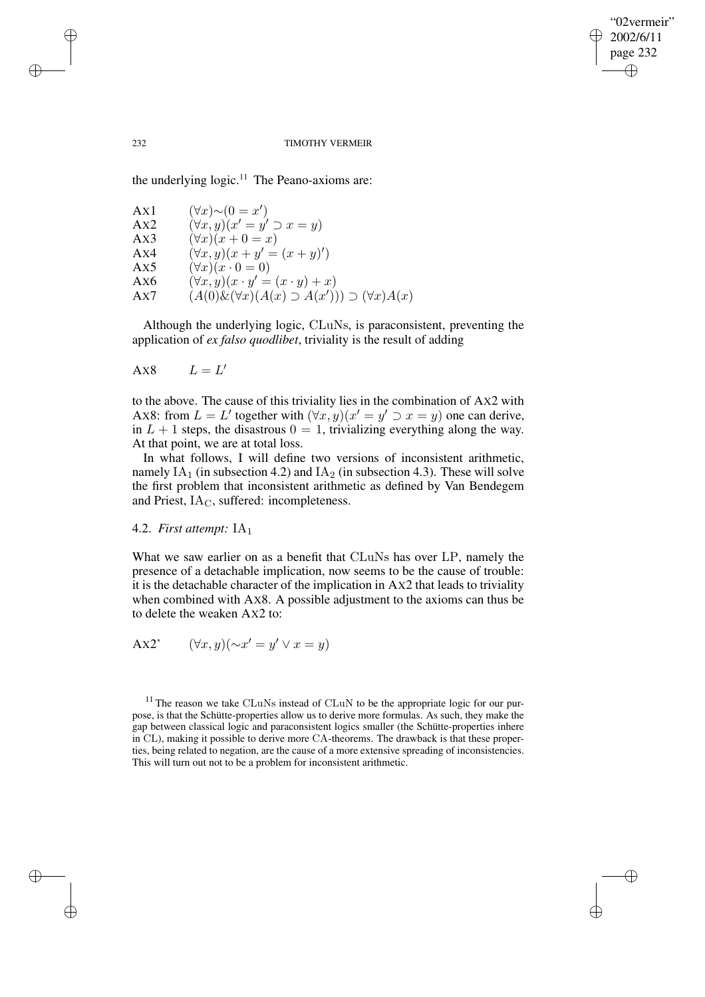✐

## 232 TIMOTHY VERMEIR

the underlying  $logic$ .<sup>11</sup> The Peano-axioms are:

$$
AX1 \quad (\forall x) \sim (0 = x')\nAX2 \quad (\forall x, y)(x' = y' \supset x = y)\nAX3 \quad (\forall x)(x + 0 = x)\nAX4 \quad (\forall x, y)(x + y' = (x + y)')\nAX5 \quad (\forall x)(x \cdot 0 = 0)\nAX6 \quad (\forall x, y)(x \cdot y' = (x \cdot y) + x)\nAX7 \quad (A(0) \& (\forall x)(A(x) \supset A(x'))) \supset (\forall x)A(x)
$$

Although the underlying logic, CLuNs, is paraconsistent, preventing the application of *ex falso quodlibet*, triviality is the result of adding

$$
A x8 \qquad L = L'
$$

✐

✐

✐

✐

to the above. The cause of this triviality lies in the combination of AX2 with AX8: from  $L = L'$  together with  $(\forall x, y)(x' = y' \supset x = y)$  one can derive, in  $L + 1$  steps, the disastrous  $0 = 1$ , trivializing everything along the way. At that point, we are at total loss.

In what follows, I will define two versions of inconsistent arithmetic, namely  $IA<sub>1</sub>$  (in subsection 4.2) and  $IA<sub>2</sub>$  (in subsection 4.3). These will solve the first problem that inconsistent arithmetic as defined by Van Bendegem and Priest,  $IA<sub>C</sub>$ , suffered: incompleteness.

# 4.2. *First attempt:* IA<sup>1</sup>

What we saw earlier on as a benefit that CLuNs has over LP, namely the presence of a detachable implication, now seems to be the cause of trouble: it is the detachable character of the implication in AX2 that leads to triviality when combined with AX8. A possible adjustment to the axioms can thus be to delete the weaken AX2 to:

$$
\text{A}x2' \qquad (\forall x, y)(\sim x' = y' \lor x = y)
$$

 $11$  The reason we take CLuNs instead of CLuN to be the appropriate logic for our purpose, is that the Schütte-properties allow us to derive more formulas. As such, they make the gap between classical logic and paraconsistent logics smaller (the Schütte-properties inhere in CL), making it possible to derive more CA-theorems. The drawback is that these properties, being related to negation, are the cause of a more extensive spreading of inconsistencies. This will turn out not to be a problem for inconsistent arithmetic.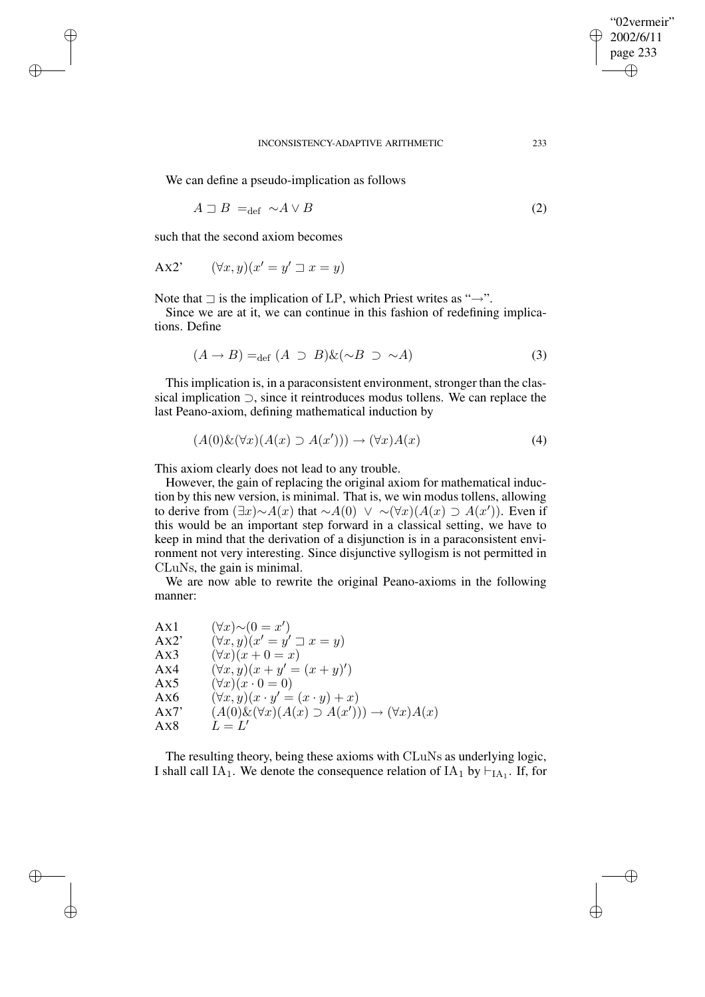✐

We can define a pseudo-implication as follows

$$
A \sqsupset B =_{\text{def}} \sim A \vee B \tag{2}
$$

such that the second axiom becomes

✐

✐

✐

✐

$$
Ax2' \qquad (\forall x, y)(x' = y' \sqsupset x = y)
$$

Note that  $\exists$  is the implication of LP, which Priest writes as " $\rightarrow$ ".

Since we are at it, we can continue in this fashion of redefining implications. Define

$$
(A \to B) =_{\text{def}} (A \supset B) \& (\sim B \supset \sim A)
$$
 (3)

This implication is, in a paraconsistent environment, stronger than the classical implication ⊃, since it reintroduces modus tollens. We can replace the last Peano-axiom, defining mathematical induction by

$$
(A(0)\&(\forall x)(A(x)\supset A(x')))\rightarrow (\forall x)A(x) \tag{4}
$$

This axiom clearly does not lead to any trouble.

However, the gain of replacing the original axiom for mathematical induction by this new version, is minimal. That is, we win modus tollens, allowing to derive from  $(\exists x) \sim A(x)$  that  $\sim A(0)$   $\vee$  ~ $(\forall x)(A(x) \supset A(x'))$ . Even if this would be an important step forward in a classical setting, we have to keep in mind that the derivation of a disjunction is in a paraconsistent environment not very interesting. Since disjunctive syllogism is not permitted in CLuNs, the gain is minimal.

We are now able to rewrite the original Peano-axioms in the following manner:

| Ax1  | $(\forall x) \sim (0 = x')$                                         |
|------|---------------------------------------------------------------------|
| Ax2' | $(\forall x, y)(x' = y' \sqsupset x = y)$                           |
| Ax3  | $(\forall x)(x+0=x)$                                                |
| Ax4  | $(\forall x, y)(x + y' = (x + y)')$                                 |
| Ax5  | $(\forall x)(x \cdot 0 = 0)$                                        |
| Ax6  | $(\forall x, y)(x \cdot y' = (x \cdot y) + x)$                      |
| Ax7' | $(A(0)\&(\forall x)(A(x)\supset A(x')))\rightarrow (\forall x)A(x)$ |
| Ax8  | $L = L'$                                                            |
|      |                                                                     |

The resulting theory, being these axioms with CLuNs as underlying logic, I shall call IA<sub>1</sub>. We denote the consequence relation of IA<sub>1</sub> by  $\vdash$ <sub>IA<sub>1</sub></sub>. If, for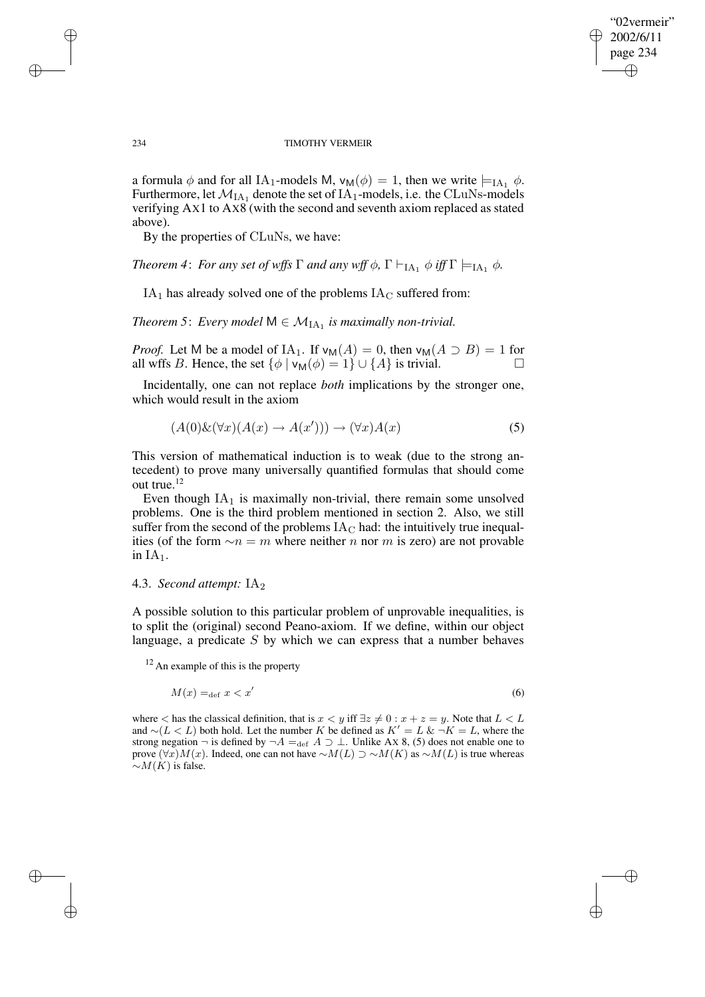✐

#### 234 TIMOTHY VERMEIR

a formula  $\phi$  and for all IA<sub>1</sub>-models M,  $v_M(\phi) = 1$ , then we write  $\models_{IA_1} \phi$ . Furthermore, let  $\mathcal{M}_{\mathrm{IA}_1}$  denote the set of  $\mathrm{IA}_1$ -models, i.e. the CLuNs-models verifying AX1 to AX8 (with the second and seventh axiom replaced as stated above).

By the properties of CLuNs, we have:

*Theorem* 4: *For any set of wffs*  $\Gamma$  *and any*  $wff \phi$ ,  $\Gamma \vdash_{IA_1} \phi$  *iff*  $\Gamma \models_{IA_1} \phi$ .

 $IA<sub>1</sub>$  has already solved one of the problems  $IA<sub>C</sub>$  suffered from:

*Theorem* 5: *Every model*  $M \in M_{IA_1}$  *is maximally non-trivial.* 

*Proof.* Let M be a model of IA<sub>1</sub>. If  $v_M(A) = 0$ , then  $v_M(A \supset B) = 1$  for all wffs B. Hence, the set  $\{\phi \mid v_M(\phi) = 1\} \cup \{A\}$  is trivial.

Incidentally, one can not replace *both* implications by the stronger one, which would result in the axiom

$$
(A(0)\&(\forall x)(A(x) \to A(x'))) \to (\forall x)A(x) \tag{5}
$$

This version of mathematical induction is to weak (due to the strong antecedent) to prove many universally quantified formulas that should come out true.<sup>12</sup>

Even though  $IA<sub>1</sub>$  is maximally non-trivial, there remain some unsolved problems. One is the third problem mentioned in section 2. Also, we still suffer from the second of the problems  $IA<sub>C</sub>$  had: the intuitively true inequalities (of the form  $\sim n = m$  where neither n nor m is zero) are not provable in  $IA<sub>1</sub>$ .

# 4.3. *Second attempt:* IA<sup>2</sup>

A possible solution to this particular problem of unprovable inequalities, is to split the (original) second Peano-axiom. If we define, within our object language, a predicate  $S$  by which we can express that a number behaves

 $12$  An example of this is the property

$$
M(x) =_{\text{def}} x < x' \tag{6}
$$

where  $\lt$  has the classical definition, that is  $x \lt y$  iff  $\exists z \neq 0 : x + z = y$ . Note that  $L \lt L$  and  $\sim (L \lt L)$  both hold. Let the number K be defined as  $K' = L \& \neg K = L$ , where the strong negation  $\neg$  is defined by  $\neg A =_{\text{def}} A \supset \bot$ . Unlike Ax 8, (5) does not enable one to prove  $(\forall x)M(x)$ . Indeed, one can not have ∼ $M(L) \supset \sim M(K)$  as ∼ $M(L)$  is true whereas  $\sim M(K)$  is false.

✐

✐

✐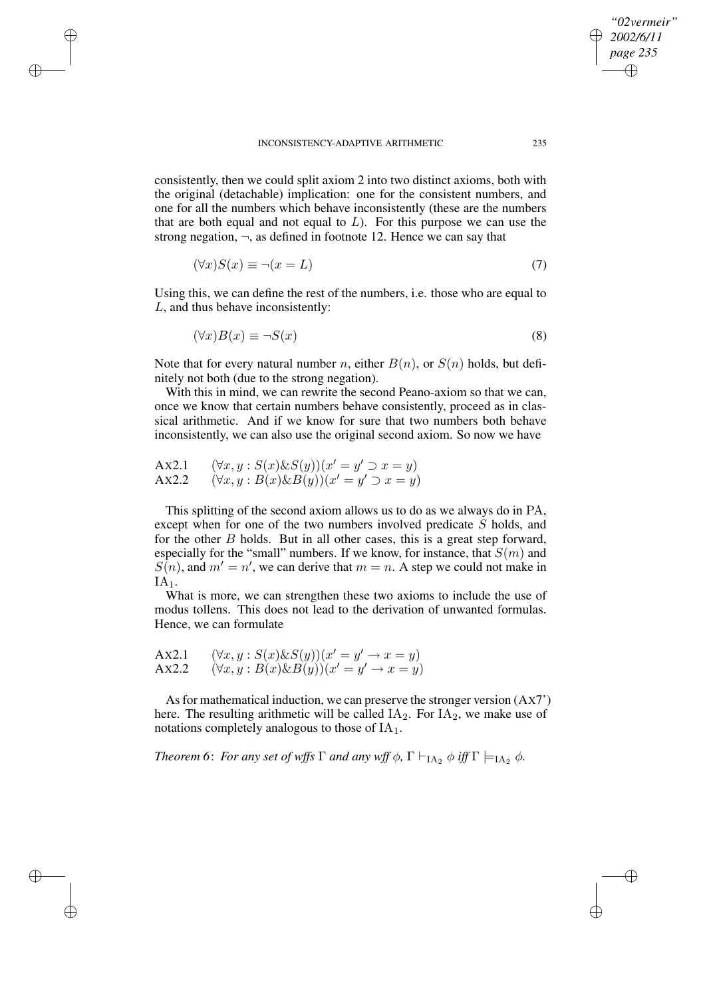✐

✐

✐

✐

consistently, then we could split axiom 2 into two distinct axioms, both with the original (detachable) implication: one for the consistent numbers, and one for all the numbers which behave inconsistently (these are the numbers that are both equal and not equal to  $L$ ). For this purpose we can use the strong negation,  $\neg$ , as defined in footnote 12. Hence we can say that

$$
(\forall x)S(x) \equiv \neg(x = L) \tag{7}
$$

Using this, we can define the rest of the numbers, i.e. those who are equal to L, and thus behave inconsistently:

$$
(\forall x)B(x) \equiv \neg S(x) \tag{8}
$$

Note that for every natural number n, either  $B(n)$ , or  $S(n)$  holds, but definitely not both (due to the strong negation).

With this in mind, we can rewrite the second Peano-axiom so that we can, once we know that certain numbers behave consistently, proceed as in classical arithmetic. And if we know for sure that two numbers both behave inconsistently, we can also use the original second axiom. So now we have

$$
AX2.1 \qquad (\forall x, y : S(x) \& S(y))(x' = y' \supset x = y)
$$
  

$$
AX2.2 \qquad (\forall x, y : B(x) \& B(y))(x' = y' \supset x = y)
$$

This splitting of the second axiom allows us to do as we always do in PA, except when for one of the two numbers involved predicate S holds, and for the other  $B$  holds. But in all other cases, this is a great step forward, especially for the "small" numbers. If we know, for instance, that  $S(m)$  and  $S(n)$ , and  $m' = n'$ , we can derive that  $m = n$ . A step we could not make in  $IA<sub>1</sub>$ .

What is more, we can strengthen these two axioms to include the use of modus tollens. This does not lead to the derivation of unwanted formulas. Hence, we can formulate

$$
AX2.1 \qquad (\forall x, y : S(x) \& S(y))(x' = y' \rightarrow x = y)
$$
  

$$
AX2.2 \qquad (\forall x, y : B(x) \& B(y))(x' = y' \rightarrow x = y)
$$

As for mathematical induction, we can preserve the stronger version  $(AXT)$ here. The resulting arithmetic will be called  $IA<sub>2</sub>$ . For  $IA<sub>2</sub>$ , we make use of notations completely analogous to those of  $IA<sub>1</sub>$ .

*Theorem* 6: *For any set of wffs*  $\Gamma$  *and any wff*  $\phi$ ,  $\Gamma \vdash_{IA_2} \phi$  *iff*  $\Gamma \models_{IA_2} \phi$ .

*"02vermeir" 2002/6/11 page 235*

✐

✐

✐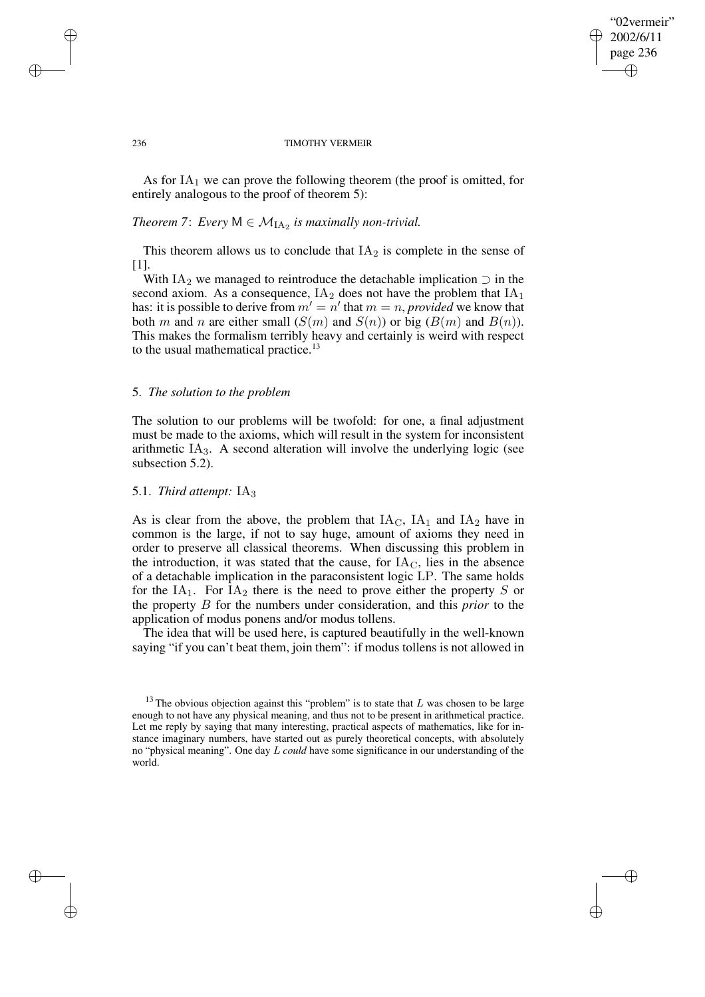## "02vermeir" 2002/6/11 page 236 ✐ ✐

✐

✐

#### 236 TIMOTHY VERMEIR

As for  $IA<sub>1</sub>$  we can prove the following theorem (the proof is omitted, for entirely analogous to the proof of theorem 5):

# *Theorem* 7: *Every*  $M \in M_{IA_2}$  *is maximally non-trivial.*

This theorem allows us to conclude that  $IA<sub>2</sub>$  is complete in the sense of [1].

With IA<sub>2</sub> we managed to reintroduce the detachable implication  $\supset$  in the second axiom. As a consequence,  $IA<sub>2</sub>$  does not have the problem that  $IA<sub>1</sub>$ has: it is possible to derive from  $m' = n'$  that  $m = n$ , *provided* we know that both m and n are either small  $(S(m)$  and  $S(n))$  or big  $(B(m)$  and  $B(n))$ . This makes the formalism terribly heavy and certainly is weird with respect to the usual mathematical practice.<sup>13</sup>

# 5. *The solution to the problem*

The solution to our problems will be twofold: for one, a final adjustment must be made to the axioms, which will result in the system for inconsistent arithmetic  $IA<sub>3</sub>$ . A second alteration will involve the underlying logic (see subsection 5.2).

# 5.1. *Third attempt:* IA<sup>3</sup>

As is clear from the above, the problem that  $IA<sub>C</sub>$ ,  $IA<sub>1</sub>$  and  $IA<sub>2</sub>$  have in common is the large, if not to say huge, amount of axioms they need in order to preserve all classical theorems. When discussing this problem in the introduction, it was stated that the cause, for  $IA<sub>C</sub>$ , lies in the absence of a detachable implication in the paraconsistent logic LP. The same holds for the  $IA_1$ . For  $IA_2$  there is the need to prove either the property S or the property B for the numbers under consideration, and this *prior* to the application of modus ponens and/or modus tollens.

The idea that will be used here, is captured beautifully in the well-known saying "if you can't beat them, join them": if modus tollens is not allowed in

✐

✐

✐

 $13$  The obvious objection against this "problem" is to state that L was chosen to be large enough to not have any physical meaning, and thus not to be present in arithmetical practice. Let me reply by saying that many interesting, practical aspects of mathematics, like for instance imaginary numbers, have started out as purely theoretical concepts, with absolutely no "physical meaning". One day L *could* have some significance in our understanding of the world.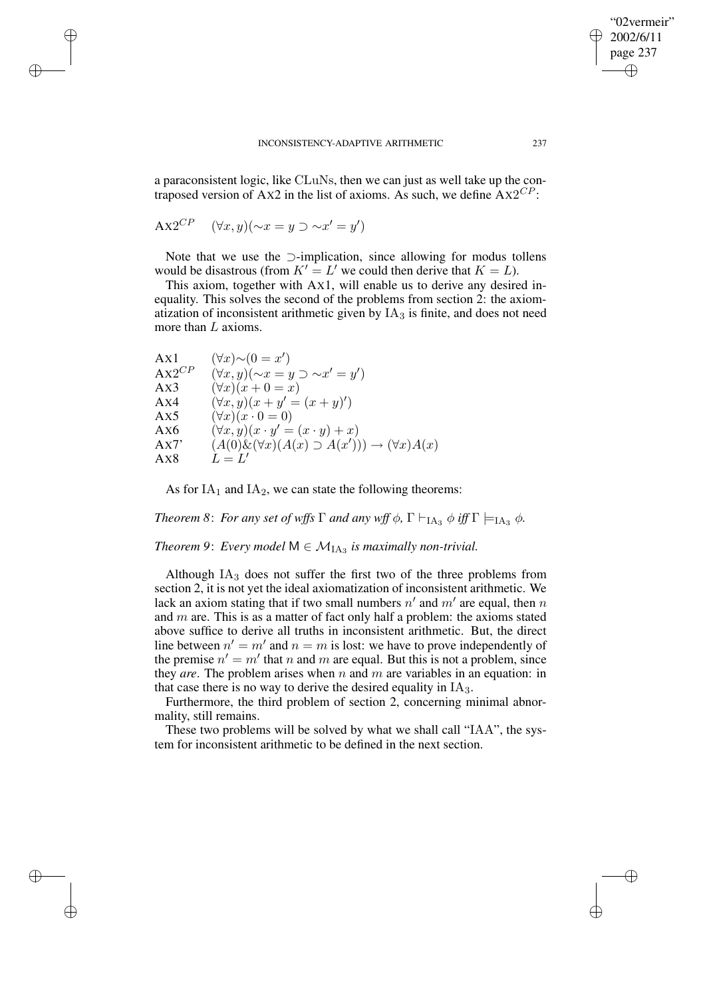a paraconsistent logic, like CLuNs, then we can just as well take up the contraposed version of Ax2 in the list of axioms. As such, we define  $A x 2^{CP}$ :

$$
AX2^{CP} \quad (\forall x, y)(\sim x = y \supset \sim x' = y')
$$

✐

✐

✐

✐

Note that we use the ⊃-implication, since allowing for modus tollens would be disastrous (from  $K' = L'$  we could then derive that  $K = L$ ).

This axiom, together with AX1, will enable us to derive any desired inequality. This solves the second of the problems from section 2: the axiomatization of inconsistent arithmetic given by  $IA<sub>3</sub>$  is finite, and does not need more than L axioms.

| Ax1        | $(\forall x) \sim (0 = x')$                                         |
|------------|---------------------------------------------------------------------|
| $AX2^{CP}$ | $(\forall x, y)(\sim x = y \supset \sim x' = y')$                   |
| Ax3        | $(\forall x)(x+0=x)$                                                |
| Ax4        | $(\forall x, y)(x + y' = (x + y)')$                                 |
| Ax5        | $(\forall x)(x \cdot 0 = 0)$                                        |
| Ax6        | $(\forall x, y)(x \cdot y' = (x \cdot y) + x)$                      |
| Ax7'       | $(A(0)\&(\forall x)(A(x)\supset A(x')))\rightarrow (\forall x)A(x)$ |
| Ax8        | $L=L'$                                                              |

As for  $IA<sub>1</sub>$  and  $IA<sub>2</sub>$ , we can state the following theorems:

*Theorem* 8: *For any set of wffs*  $\Gamma$  *and any*  $wff \phi$ ,  $\Gamma \vdash_{IA3} \phi$  *iff*  $\Gamma \models_{IA3} \phi$ .

*Theorem* 9: *Every model*  $M \in M_{IA_3}$  *is maximally non-trivial.* 

Although  $IA<sub>3</sub>$  does not suffer the first two of the three problems from section 2, it is not yet the ideal axiomatization of inconsistent arithmetic. We lack an axiom stating that if two small numbers  $n'$  and  $m'$  are equal, then n and  $m$  are. This is as a matter of fact only half a problem: the axioms stated above suffice to derive all truths in inconsistent arithmetic. But, the direct line between  $n' = m'$  and  $n = m$  is lost: we have to prove independently of the premise  $n' = m'$  that n and m are equal. But this is not a problem, since they *are*. The problem arises when  $n$  and  $m$  are variables in an equation: in that case there is no way to derive the desired equality in  $IA<sub>3</sub>$ .

Furthermore, the third problem of section 2, concerning minimal abnormality, still remains.

These two problems will be solved by what we shall call "IAA", the system for inconsistent arithmetic to be defined in the next section.

"02vermeir" 2002/6/11 page 237

✐

✐

✐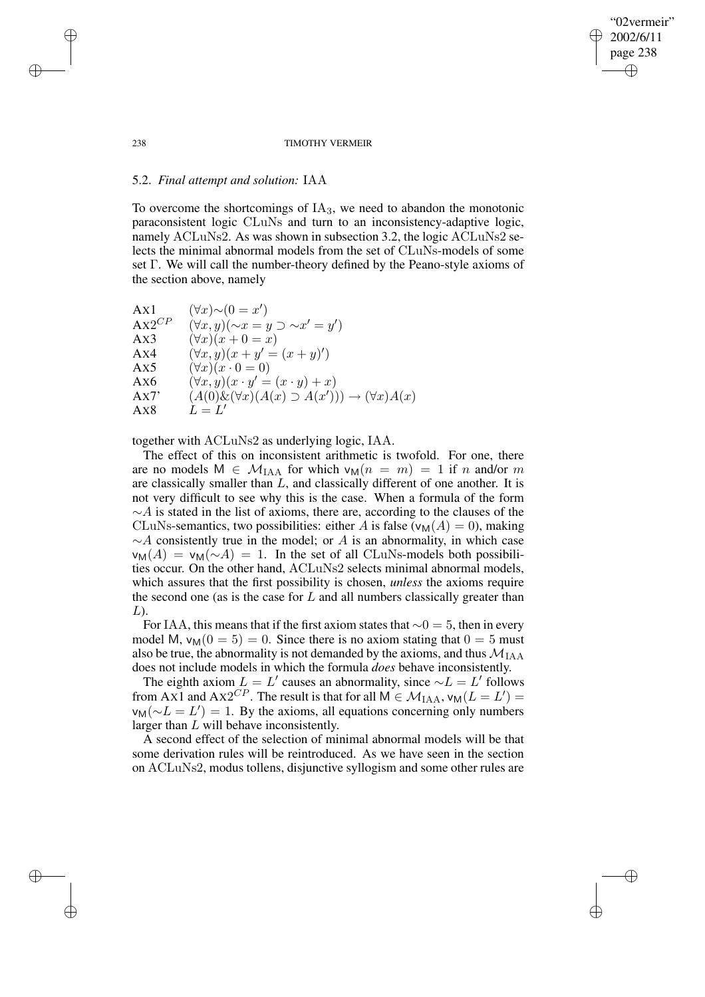## "02vermeir" 2002/6/11 page 238 ✐ ✐

✐

✐

#### 238 TIMOTHY VERMEIR

## 5.2. *Final attempt and solution:* IAA

To overcome the shortcomings of  $IA<sub>3</sub>$ , we need to abandon the monotonic paraconsistent logic CLuNs and turn to an inconsistency-adaptive logic, namely ACLuNs2. As was shown in subsection 3.2, the logic ACLuNs2 selects the minimal abnormal models from the set of CLuNs-models of some set Γ. We will call the number-theory defined by the Peano-style axioms of the section above, namely

| Ax1        | $(\forall x) \sim (0 = x')$                                         |
|------------|---------------------------------------------------------------------|
| $AX2^{CP}$ | $(\forall x, y)(\sim x = y \supset \sim x' = y')$                   |
| Ax3        | $(\forall x)(x+0=x)$                                                |
| Ax4        | $(\forall x, y)(x + y' = (x + y)')$                                 |
| Ax5        | $(\forall x)(x \cdot 0 = 0)$                                        |
| Ax6        | $(\forall x, y)(x \cdot y' = (x \cdot y) + x)$                      |
| Ax7'       | $(A(0)\&(\forall x)(A(x)\supset A(x')))\rightarrow (\forall x)A(x)$ |
| Ax8        | $L=L'$                                                              |
|            |                                                                     |

together with ACLuNs2 as underlying logic, IAA.

The effect of this on inconsistent arithmetic is twofold. For one, there are no models  $M \in \mathcal{M}_{IAA}$  for which  $v_M(n = m) = 1$  if n and/or m are classically smaller than  $L$ , and classically different of one another. It is not very difficult to see why this is the case. When a formula of the form  $~\sim A$  is stated in the list of axioms, there are, according to the clauses of the CLuNs-semantics, two possibilities: either A is false ( $v_M(A) = 0$ ), making  $\sim$ A consistently true in the model; or A is an abnormality, in which case  $\nu_M(A) = \nu_M(\sim A) = 1$ . In the set of all CLuNs-models both possibilities occur. On the other hand, ACLuNs2 selects minimal abnormal models, which assures that the first possibility is chosen, *unless* the axioms require the second one (as is the case for  $L$  and all numbers classically greater than  $L$ ).

For IAA, this means that if the first axiom states that  $\sim 0 = 5$ , then in every model M,  $v_M(0 = 5) = 0$ . Since there is no axiom stating that  $0 = 5$  must also be true, the abnormality is not demanded by the axioms, and thus  $\mathcal{M}_{\text{IAA}}$ does not include models in which the formula *does* behave inconsistently.

The eighth axiom  $L = L'$  causes an abnormality, since  $\sim L = L'$  follows from AX1 and AX2<sup>CP</sup>. The result is that for all  $M \in \mathcal{M}_{\text{IAA}}$ ,  $v_M(L = L')$  =  $v_M(\sim L = L') = 1$ . By the axioms, all equations concerning only numbers larger than L will behave inconsistently.

A second effect of the selection of minimal abnormal models will be that some derivation rules will be reintroduced. As we have seen in the section on ACLuNs2, modus tollens, disjunctive syllogism and some other rules are

✐

✐

✐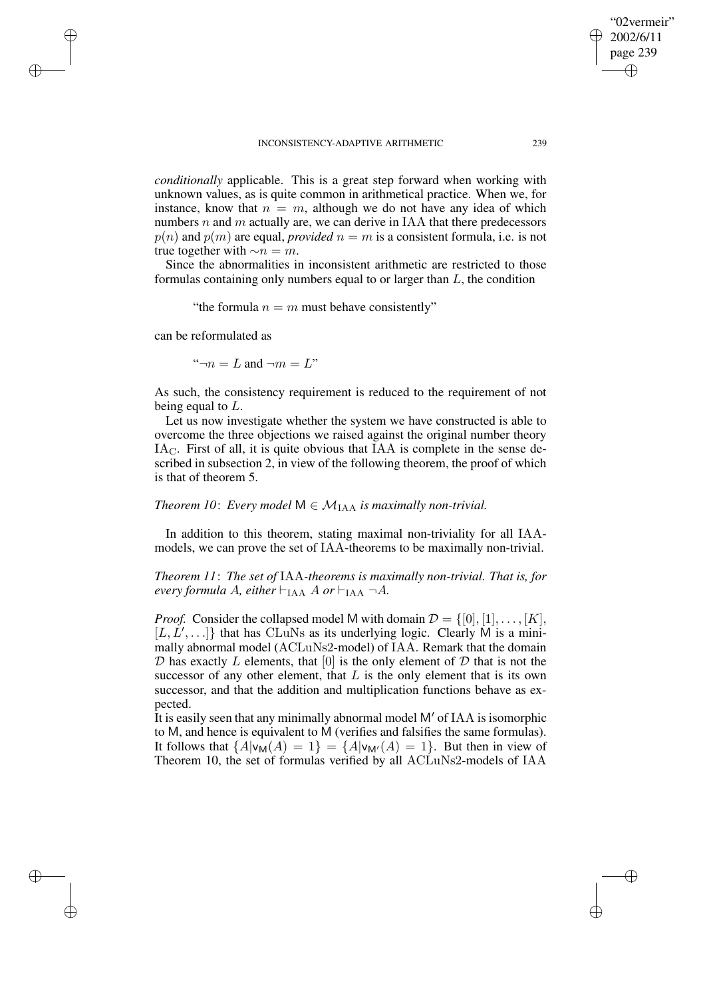*conditionally* applicable. This is a great step forward when working with unknown values, as is quite common in arithmetical practice. When we, for instance, know that  $n = m$ , although we do not have any idea of which numbers n and m actually are, we can derive in IAA that there predecessors  $p(n)$  and  $p(m)$  are equal, *provided*  $n = m$  is a consistent formula, i.e. is not true together with  $~\sim n = m$ .

Since the abnormalities in inconsistent arithmetic are restricted to those formulas containing only numbers equal to or larger than L, the condition

"the formula  $n = m$  must behave consistently"

can be reformulated as

✐

✐

✐

✐

" $\neg n = L$  and  $\neg m = L$ "

As such, the consistency requirement is reduced to the requirement of not being equal to L.

Let us now investigate whether the system we have constructed is able to overcome the three objections we raised against the original number theory IAC. First of all, it is quite obvious that IAA is complete in the sense described in subsection 2, in view of the following theorem, the proof of which is that of theorem 5.

# *Theorem 10: Every model*  $M \in M_{IAA}$  *is maximally non-trivial.*

In addition to this theorem, stating maximal non-triviality for all IAAmodels, we can prove the set of IAA-theorems to be maximally non-trivial.

*Theorem 11*: *The set of* IAA*-theorems is maximally non-trivial. That is, for every formula A, either*  $\vdash_{\text{IAA}} A$  *or*  $\vdash_{\text{IAA}} \neg A$ .

*Proof.* Consider the collapsed model M with domain  $\mathcal{D} = \{[0], [1], \ldots, [K]\}$ ,  $[L, L', \ldots]$ } that has CLuNs as its underlying logic. Clearly M is a minimally abnormal model (ACLuNs2-model) of IAA. Remark that the domain  $D$  has exactly L elements, that  $[0]$  is the only element of  $D$  that is not the successor of any other element, that  $L$  is the only element that is its own successor, and that the addition and multiplication functions behave as expected.

It is easily seen that any minimally abnormal model  $M'$  of IAA is isomorphic to M, and hence is equivalent to M (verifies and falsifies the same formulas). It follows that  $\{A|\mathsf{v}_{\mathsf{M}}(A) = 1\} = \{A|\mathsf{v}_{\mathsf{M}'}(A) = 1\}$ . But then in view of Theorem 10, the set of formulas verified by all ACLuNs2-models of IAA

"02vermeir" 2002/6/11 page 239

✐

✐

✐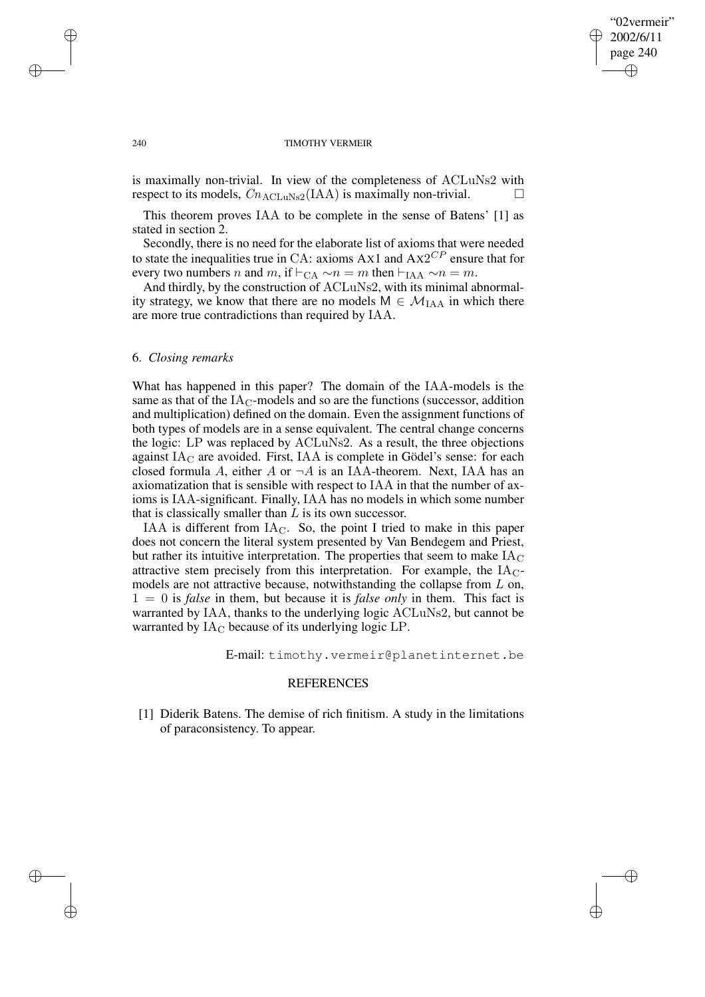✐

#### 240 TIMOTHY VERMEIR

is maximally non-trivial. In view of the completeness of ACLuNs2 with respect to its models,  $Cn_{\text{ACLuNs2}}(IAA)$  is maximally non-trivial.

This theorem proves IAA to be complete in the sense of Batens' [1] as stated in section 2.

Secondly, there is no need for the elaborate list of axioms that were needed to state the inequalities true in CA: axioms Ax1 and  $AX2^{CP}$  ensure that for every two numbers *n* and *m*, if  $\vdash_{\text{CA}} \sim n = m$  then  $\vdash_{\text{IAA}} \sim n = m$ .

And thirdly, by the construction of ACLuNs2, with its minimal abnormality strategy, we know that there are no models  $M \in \mathcal{M}_{IAA}$  in which there are more true contradictions than required by IAA.

## 6. *Closing remarks*

What has happened in this paper? The domain of the IAA-models is the same as that of the  $IA<sub>C</sub>$ -models and so are the functions (successor, addition and multiplication) defined on the domain. Even the assignment functions of both types of models are in a sense equivalent. The central change concerns the logic: LP was replaced by ACLuNs2. As a result, the three objections against  $IA<sub>C</sub>$  are avoided. First, IAA is complete in Gödel's sense: for each closed formula A, either A or  $\neg A$  is an IAA-theorem. Next, IAA has an axiomatization that is sensible with respect to IAA in that the number of axioms is IAA-significant. Finally, IAA has no models in which some number that is classically smaller than  $L$  is its own successor.

IAA is different from  $IA<sub>C</sub>$ . So, the point I tried to make in this paper does not concern the literal system presented by Van Bendegem and Priest, but rather its intuitive interpretation. The properties that seem to make  $IA<sub>C</sub>$ attractive stem precisely from this interpretation. For example, the  $IA<sub>C</sub>$ models are not attractive because, notwithstanding the collapse from  $L$  on,  $1 = 0$  is *false* in them, but because it is *false only* in them. This fact is warranted by IAA, thanks to the underlying logic ACLuNs2, but cannot be warranted by  $IA<sub>C</sub>$  because of its underlying logic LP.

E-mail: timothy.vermeir@planetinternet.be

## REFERENCES

[1] Diderik Batens. The demise of rich finitism. A study in the limitations of paraconsistency. To appear.

✐

✐

✐